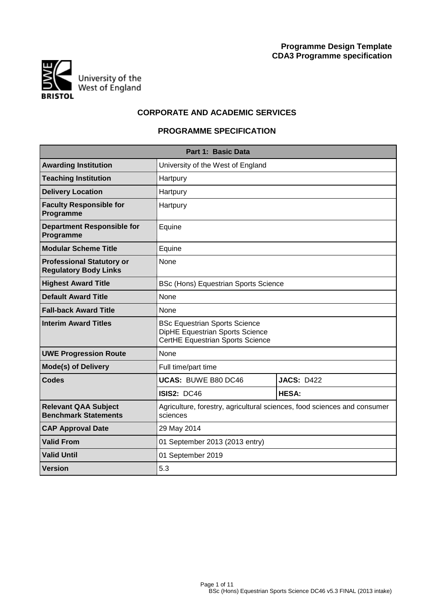

# **CORPORATE AND ACADEMIC SERVICES**

# **PROGRAMME SPECIFICATION**

|                                                                  | Part 1: Basic Data                                                                                          |                   |  |  |  |  |  |  |  |  |  |
|------------------------------------------------------------------|-------------------------------------------------------------------------------------------------------------|-------------------|--|--|--|--|--|--|--|--|--|
| <b>Awarding Institution</b>                                      | University of the West of England                                                                           |                   |  |  |  |  |  |  |  |  |  |
| <b>Teaching Institution</b>                                      | Hartpury                                                                                                    |                   |  |  |  |  |  |  |  |  |  |
| <b>Delivery Location</b>                                         | Hartpury                                                                                                    |                   |  |  |  |  |  |  |  |  |  |
| <b>Faculty Responsible for</b><br>Programme                      | Hartpury                                                                                                    |                   |  |  |  |  |  |  |  |  |  |
| <b>Department Responsible for</b><br>Programme                   | Equine                                                                                                      |                   |  |  |  |  |  |  |  |  |  |
| <b>Modular Scheme Title</b>                                      | Equine                                                                                                      |                   |  |  |  |  |  |  |  |  |  |
| <b>Professional Statutory or</b><br><b>Regulatory Body Links</b> | None                                                                                                        |                   |  |  |  |  |  |  |  |  |  |
| <b>Highest Award Title</b>                                       | <b>BSc (Hons) Equestrian Sports Science</b>                                                                 |                   |  |  |  |  |  |  |  |  |  |
| <b>Default Award Title</b>                                       | None                                                                                                        |                   |  |  |  |  |  |  |  |  |  |
| <b>Fall-back Award Title</b>                                     | None                                                                                                        |                   |  |  |  |  |  |  |  |  |  |
| <b>Interim Award Titles</b>                                      | <b>BSc Equestrian Sports Science</b><br>DipHE Equestrian Sports Science<br>CertHE Equestrian Sports Science |                   |  |  |  |  |  |  |  |  |  |
| <b>UWE Progression Route</b>                                     | None                                                                                                        |                   |  |  |  |  |  |  |  |  |  |
| <b>Mode(s) of Delivery</b>                                       | Full time/part time                                                                                         |                   |  |  |  |  |  |  |  |  |  |
| <b>Codes</b>                                                     | <b>UCAS: BUWE B80 DC46</b>                                                                                  | <b>JACS: D422</b> |  |  |  |  |  |  |  |  |  |
|                                                                  | <b>ISIS2: DC46</b>                                                                                          | <b>HESA:</b>      |  |  |  |  |  |  |  |  |  |
| <b>Relevant QAA Subject</b><br><b>Benchmark Statements</b>       | Agriculture, forestry, agricultural sciences, food sciences and consumer<br>sciences                        |                   |  |  |  |  |  |  |  |  |  |
| <b>CAP Approval Date</b>                                         | 29 May 2014                                                                                                 |                   |  |  |  |  |  |  |  |  |  |
| <b>Valid From</b>                                                | 01 September 2013 (2013 entry)                                                                              |                   |  |  |  |  |  |  |  |  |  |
| <b>Valid Until</b>                                               | 01 September 2019                                                                                           |                   |  |  |  |  |  |  |  |  |  |
| <b>Version</b>                                                   | 5.3                                                                                                         |                   |  |  |  |  |  |  |  |  |  |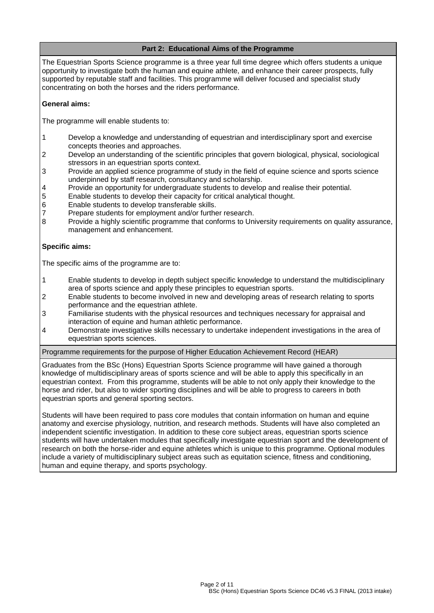# **Part 2: Educational Aims of the Programme**

The Equestrian Sports Science programme is a three year full time degree which offers students a unique opportunity to investigate both the human and equine athlete, and enhance their career prospects, fully supported by reputable staff and facilities. This programme will deliver focused and specialist study concentrating on both the horses and the riders performance.

### **General aims:**

The programme will enable students to:

- 1 Develop a knowledge and understanding of equestrian and interdisciplinary sport and exercise concepts theories and approaches.
- 2 Develop an understanding of the scientific principles that govern biological, physical, sociological stressors in an equestrian sports context.
- 3 Provide an applied science programme of study in the field of equine science and sports science underpinned by staff research, consultancy and scholarship.
- 4 Provide an opportunity for undergraduate students to develop and realise their potential.
- 5 Enable students to develop their capacity for critical analytical thought.
- 6 Enable students to develop transferable skills.
- 7 Prepare students for employment and/or further research.
- 8 Provide a highly scientific programme that conforms to University requirements on quality assurance, management and enhancement.

#### **Specific aims:**

The specific aims of the programme are to:

- 1 Enable students to develop in depth subject specific knowledge to understand the multidisciplinary area of sports science and apply these principles to equestrian sports.
- 2 Enable students to become involved in new and developing areas of research relating to sports performance and the equestrian athlete.
- 3 Familiarise students with the physical resources and techniques necessary for appraisal and interaction of equine and human athletic performance.
- 4 Demonstrate investigative skills necessary to undertake independent investigations in the area of equestrian sports sciences.

Programme requirements for the purpose of Higher Education Achievement Record (HEAR)

Graduates from the BSc (Hons) Equestrian Sports Science programme will have gained a thorough knowledge of multidisciplinary areas of sports science and will be able to apply this specifically in an equestrian context. From this programme, students will be able to not only apply their knowledge to the horse and rider, but also to wider sporting disciplines and will be able to progress to careers in both equestrian sports and general sporting sectors.

Students will have been required to pass core modules that contain information on human and equine anatomy and exercise physiology, nutrition, and research methods. Students will have also completed an independent scientific investigation. In addition to these core subject areas, equestrian sports science students will have undertaken modules that specifically investigate equestrian sport and the development of research on both the horse-rider and equine athletes which is unique to this programme. Optional modules include a variety of multidisciplinary subject areas such as equitation science, fitness and conditioning, human and equine therapy, and sports psychology.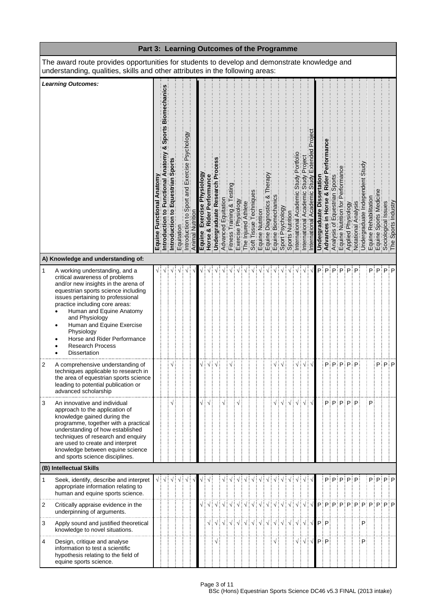|              | Part 3: Learning Outcomes of the Programme                                                                                                                                                                                                                                                                                                                                               |  |                                                |  |            |                                                                |                  |                               |                                     |                               |                        |                             |                     |                           |           |                                                                                                                                                             |   |  |                   |                                                          |                      |               |                   |                      |                                                                                     |                     |   |                                                                                                                                                      |         |  |
|--------------|------------------------------------------------------------------------------------------------------------------------------------------------------------------------------------------------------------------------------------------------------------------------------------------------------------------------------------------------------------------------------------------|--|------------------------------------------------|--|------------|----------------------------------------------------------------|------------------|-------------------------------|-------------------------------------|-------------------------------|------------------------|-----------------------------|---------------------|---------------------------|-----------|-------------------------------------------------------------------------------------------------------------------------------------------------------------|---|--|-------------------|----------------------------------------------------------|----------------------|---------------|-------------------|----------------------|-------------------------------------------------------------------------------------|---------------------|---|------------------------------------------------------------------------------------------------------------------------------------------------------|---------|--|
|              | The award route provides opportunities for students to develop and demonstrate knowledge and<br>understanding, qualities, skills and other attributes in the following areas:                                                                                                                                                                                                            |  |                                                |  |            |                                                                |                  |                               |                                     |                               |                        |                             |                     |                           |           |                                                                                                                                                             |   |  |                   |                                                          |                      |               |                   |                      |                                                                                     |                     |   |                                                                                                                                                      |         |  |
|              | <b>Learning Outcomes:</b><br>A) Knowledge and understanding of:                                                                                                                                                                                                                                                                                                                          |  | Sports Biom<br>ಳ<br>Functional<br>Introduction |  | Equitation | Psychology<br>Exercise<br>pue<br>$\overline{5}$<br>ntroduction | Animal Nutrition | Exercise Physiology<br>Equine | <b>Rider Performance</b><br>Horse & | Undergraduate Research Proces | Equitation<br>Advanced | & Testi<br>Fitness Training | Exercise Physiology | The Injured Athlete       | echniques | Soft Tissue Technique<br>Equine Diagnostics &<br>Equine Diagnostics &<br>Equine Biomechanics<br>Sport Psychology<br>Sports Nutrition<br>Dinemational Academ | ళ |  | Portfol<br>Academ | Projec<br>Study<br>Academic<br>International             | emic<br>nternational | Undergraduate | Rider<br>Advances | Sports<br>Equestrian | Performance<br>Analysis of Equestria<br>Equine Nutrition for P<br>Equine Physiology | Notational Analysis |   | Rehabilitation<br>  Undergraduate Inder<br>  Equine Spons Medication<br>  Equine Spons Medication<br>  Equine Spons Industry<br>  The Spons Industry |         |  |
| $\mathbf{1}$ | A working understanding, and a<br>critical awareness of problems<br>and/or new insights in the arena of<br>equestrian sports science including<br>issues pertaining to professional<br>practice including core areas:<br>Human and Equine Anatomy<br>and Physiology<br>Human and Equine Exercise<br>Physiology<br>Horse and Rider Performance<br><b>Research Process</b><br>Dissertation |  |                                                |  |            |                                                                |                  |                               |                                     |                               |                        |                             |                     |                           |           |                                                                                                                                                             |   |  |                   |                                                          |                      | Pi            | P                 | P                    |                                                                                     | P                   |   |                                                                                                                                                      | P∃P∃P∃P |  |
| 2            | A comprehensive understanding of<br>techniques applicable to research in<br>the area of equestrian sports science<br>leading to potential publication or<br>advanced scholarship                                                                                                                                                                                                         |  |                                                |  |            |                                                                |                  |                               |                                     |                               |                        |                             |                     |                           |           |                                                                                                                                                             |   |  | √¦                | √∃                                                       |                      |               |                   |                      | PiPiPiPiP                                                                           |                     |   |                                                                                                                                                      | P P P   |  |
| 3            | An innovative and individual<br>approach to the application of<br>knowledge gained during the<br>programme, together with a practical<br>understanding of how established<br>techniques of research and enquiry<br>are used to create and interpret<br>knowledge between equine science<br>and sports science disciplines.                                                               |  |                                                |  |            |                                                                |                  | √ i                           | $\sqrt{ }$                          |                               |                        |                             |                     |                           |           |                                                                                                                                                             |   |  |                   | √ ∶                                                      |                      |               |                   |                      | $P$ : $P$ : $P$ : $P$ : $P$                                                         |                     |   | P                                                                                                                                                    |         |  |
|              | (B) Intellectual Skills                                                                                                                                                                                                                                                                                                                                                                  |  |                                                |  |            |                                                                |                  |                               |                                     |                               |                        |                             |                     |                           |           |                                                                                                                                                             |   |  |                   |                                                          |                      |               |                   |                      |                                                                                     |                     |   |                                                                                                                                                      |         |  |
| 1            | Seek, identify, describe and interpret<br>appropriate information relating to<br>human and equine sports science.                                                                                                                                                                                                                                                                        |  | √∃√                                            |  |            |                                                                |                  |                               |                                     |                               |                        |                             |                     | V                         |           |                                                                                                                                                             |   |  |                   |                                                          |                      |               |                   |                      |                                                                                     | PiPiPiPiPi          |   |                                                                                                                                                      | PPPPP   |  |
| 2            | Critically appraise evidence in the<br>underpinning of arguments.                                                                                                                                                                                                                                                                                                                        |  |                                                |  |            |                                                                |                  |                               |                                     |                               |                        |                             |                     | VIVIVIVIVIVIVIVIVIVIVIVIV |           |                                                                                                                                                             |   |  |                   |                                                          |                      |               |                   |                      |                                                                                     |                     |   | $P[P]P]P[P]P]P[P]P]P$                                                                                                                                |         |  |
| 3            | Apply sound and justified theoretical<br>knowledge to novel situations.                                                                                                                                                                                                                                                                                                                  |  |                                                |  |            |                                                                |                  |                               |                                     |                               |                        |                             |                     |                           |           |                                                                                                                                                             |   |  |                   |                                                          |                      |               |                   |                      |                                                                                     |                     | P |                                                                                                                                                      |         |  |
| 4            | Design, critique and analyse<br>information to test a scientific<br>hypothesis relating to the field of<br>equine sports science.                                                                                                                                                                                                                                                        |  |                                                |  |            |                                                                |                  |                               |                                     |                               |                        |                             |                     |                           |           |                                                                                                                                                             |   |  |                   | $\sqrt{\frac{1}{2}}\sqrt{\frac{1}{2}}\sqrt{\frac{1}{2}}$ |                      |               | $P$ : $P$         |                      |                                                                                     |                     | P |                                                                                                                                                      |         |  |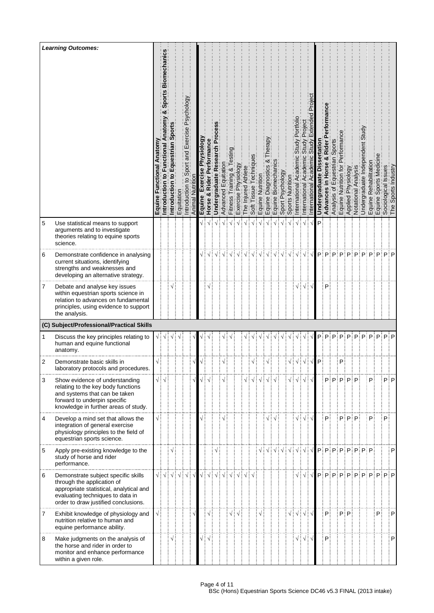|   | <b>Learning Outcomes:</b>                                                                                                                                                                | Equin | echani<br>Bio<br>Sport<br>Introdu      | Introd | Equitation | ĝo<br>Psycholo<br>Exercise<br>and<br>ntroduct                              | Animal | Physiology<br>Exercise<br>Equine | Performance<br>Rider<br>ಳ<br>Horse     | Research<br>Undergraduate | Advanced | raining<br><b>Fitness</b> | <b>Kboloi</b><br>9SI<br>Exerci | Athlete<br>ured<br>$\Phi$ | echniqu<br>issue<br>Soft | Nutrition<br>quine | ఱ<br>Diagnosti<br>e<br>C | Biomechan<br>quine | sychology<br>Sport | Nutrition<br>Sports I | nternational                                             | Academ<br>nternational | Underg | Rider<br>οð<br>Advances | Sport<br>an<br>is oi<br>Analysi                                                                                            | ō,<br>Equine | å<br>Applied    | hal<br>Notational A | Undergr | Rehabil<br>Equine<br>Equine: | Sports                                   | Issues<br>ological<br>Soci | Industry<br>Sports |
|---|------------------------------------------------------------------------------------------------------------------------------------------------------------------------------------------|-------|----------------------------------------|--------|------------|----------------------------------------------------------------------------|--------|----------------------------------|----------------------------------------|---------------------------|----------|---------------------------|--------------------------------|---------------------------|--------------------------|--------------------|--------------------------|--------------------|--------------------|-----------------------|----------------------------------------------------------|------------------------|--------|-------------------------|----------------------------------------------------------------------------------------------------------------------------|--------------|-----------------|---------------------|---------|------------------------------|------------------------------------------|----------------------------|--------------------|
| 5 | Use statistical means to support<br>arguments and to investigate<br>theories relating to equine sports<br>science.                                                                       |       |                                        |        |            |                                                                            |        |                                  |                                        |                           |          |                           |                                |                           |                          |                    |                          |                    |                    |                       |                                                          |                        | Þ      |                         |                                                                                                                            |              |                 |                     |         |                              |                                          |                            |                    |
| 6 | Demonstrate confidence in analysing<br>current situations, identifying<br>strengths and weaknesses and<br>developing an alternative strategy.                                            |       |                                        |        |            |                                                                            |        |                                  |                                        |                           |          |                           |                                |                           |                          |                    |                          |                    |                    |                       |                                                          |                        |        | P∃P                     | P                                                                                                                          | P            | P               | P                   | P       |                              | ∶P                                       | $P$ : P                    |                    |
| 7 | Debate and analyse key issues<br>within equestrian sports science in<br>relation to advances on fundamental<br>principles, using evidence to support<br>the analysis.                    |       |                                        |        |            |                                                                            |        |                                  |                                        |                           |          |                           |                                |                           |                          |                    |                          |                    |                    |                       |                                                          | V                      |        | P                       |                                                                                                                            |              |                 |                     |         |                              |                                          |                            |                    |
|   | (C) Subject/Professional/Practical Skills                                                                                                                                                |       |                                        |        |            |                                                                            |        |                                  |                                        |                           |          |                           |                                |                           |                          |                    |                          |                    |                    |                       |                                                          |                        |        |                         |                                                                                                                            |              |                 |                     |         |                              |                                          |                            |                    |
| 1 | Discuss the key principles relating to<br>human and equine functional<br>anatomy.                                                                                                        | √∶    |                                        |        |            |                                                                            |        |                                  |                                        |                           |          |                           |                                |                           |                          |                    |                          |                    |                    |                       |                                                          |                        | Pi     | P:                      | P                                                                                                                          | P            | P               | P                   | P       |                              | $P$ : $P$ : $P$ : $P$                    |                            |                    |
| 2 | Demonstrate basic skills in<br>laboratory protocols and procedures.                                                                                                                      |       |                                        |        |            |                                                                            |        |                                  |                                        |                           |          |                           |                                |                           |                          |                    |                          |                    |                    | √∶√                   |                                                          |                        | P      |                         |                                                                                                                            | P            |                 |                     |         |                              |                                          |                            |                    |
| 3 | Show evidence of understanding<br>relating to the key body functions<br>and systems that can be taken<br>forward to underpin specific<br>knowledge in further areas of study.            |       | $\sqrt{\frac{1}{2}}\sqrt{\frac{1}{2}}$ |        |            |                                                                            |        |                                  |                                        |                           |          |                           |                                |                           |                          |                    |                          |                    |                    |                       | √∔√∔√                                                    |                        |        |                         | $\mathsf{P}_i^{\text{!`}}\mathsf{P}_i^{\text{!`}}\mathsf{P}_i^{\text{!`}}\mathsf{P}_i^{\text{!`}}\mathsf{P}_i^{\text{!`}}$ |              |                 |                     |         | P                            |                                          | Pi P                       |                    |
| 4 | Develop a mind set that allows the<br>integration of general exercise<br>physiology principles to the field of<br>equestrian sports science.                                             |       |                                        |        |            |                                                                            |        |                                  |                                        |                           |          |                           |                                |                           |                          |                    |                          |                    |                    |                       |                                                          | $\sqrt{2}$             |        | P.                      |                                                                                                                            |              | $P$ : $P$ : $P$ |                     |         | P                            |                                          | P                          |                    |
| 5 | Apply pre-existing knowledge to the<br>study of horse and rider<br>performance.                                                                                                          |       |                                        |        |            |                                                                            |        |                                  |                                        |                           |          |                           |                                |                           |                          |                    |                          |                    |                    |                       | $\sqrt{\frac{1}{2}}\sqrt{\frac{1}{2}}\sqrt{\frac{1}{2}}$ |                        |        |                         | $P$ $P$ $P$ $P$ $P$ $P$ $P$ $P$ $P$ $P$                                                                                    |              |                 |                     |         |                              |                                          |                            | P                  |
| 6 | Demonstrate subject specific skills<br>through the application of<br>appropriate statistical, analytical and<br>evaluating techniques to data in<br>order to draw justified conclusions. |       | √∃√∃                                   |        |            | $\sqrt{\frac{1}{2}}\sqrt{\frac{1}{2}}\sqrt{\frac{1}{2}}\sqrt{\frac{1}{2}}$ |        |                                  | $\sqrt{\frac{1}{2}}\sqrt{\frac{1}{2}}$ | $\sqrt{2}$                |          |                           |                                |                           |                          |                    |                          |                    |                    |                       |                                                          |                        |        |                         |                                                                                                                            |              |                 |                     |         |                              | $\mathsf{p}$ : p: p: p: p: p: p: p: p: p |                            |                    |
| 7 | Exhibit knowledge of physiology and<br>nutrition relative to human and<br>equine performance ability.                                                                                    |       |                                        |        |            |                                                                            |        |                                  | $\sqrt{}$                              |                           |          |                           | √┊√                            |                           |                          |                    |                          |                    |                    |                       | √∃√∃√∃                                                   |                        |        | P.                      |                                                                                                                            |              | P∃P             |                     |         |                              | P.                                       |                            | P                  |
| 8 | Make judgments on the analysis of<br>the horse and rider in order to<br>monitor and enhance performance<br>within a given role.                                                          |       |                                        |        |            |                                                                            |        |                                  | √∶√                                    |                           |          |                           |                                |                           |                          |                    |                          |                    |                    |                       | √∔√                                                      |                        |        | P                       |                                                                                                                            |              |                 |                     |         |                              |                                          |                            | P                  |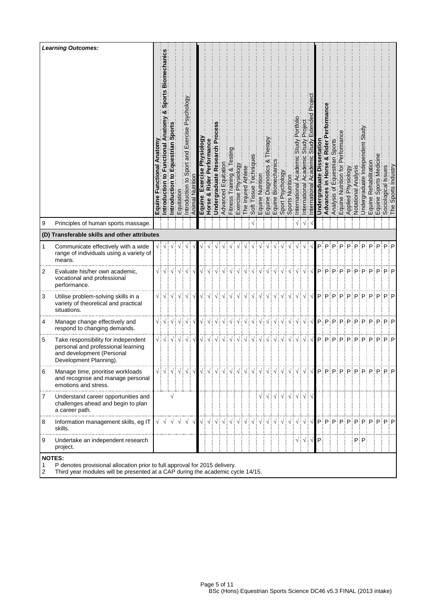|        | <b>Learning Outcomes:</b>                                                                                                                                                     | Equine | Sport<br>ional<br>Functi<br>$\overline{a}$<br>۰<br>ntroducti | $\circ$<br>Introdu | Equitation       | Psychology<br>Exercise<br>and<br>ntrodu                                                                        | Animal     | Physiology<br>8<br>Exerci<br>Equine | Performance<br>Rider<br>ಳ<br>Horse     | Research Pi<br><b>Undergraduate</b> | Advanced | & Tes<br>lraining<br>s,<br>Fitnes: | Physiology<br>$\frac{8}{2}$ | Athlete<br>njured<br><u>ღ</u>                                                                                                                                                                                                                                                                                                                                                                                                                                                                                                                                                                                                                                                   | echniqu<br>issue<br>Soft | ne Nutrition | ఱ<br>Diagnostics<br>e | Biomechani<br>Equine I                                                                                                                                                                                                                                                                                                                                                                                                                | Psychology<br>Sport  | Nutrition<br>Sports N                                                                        | Acaderr<br>nternational | Academi<br>nternational                                  | emic | ertat<br>Undel | Rider<br>×ŏ<br>n Horse<br>Advances | Sports<br>estrian<br>is of<br>Analysi | tor<br>Equine I         | Siology<br>عَ<br>Applied | Analysi<br>Notational                                             | $\overline{\mathbf{e}}$<br>Undergraduat | Rehabil<br>Equine I<br>Equine 3                                                                                                                                                                                                                                                                                                                                                               | Sports | ssues<br>ological | ndustry<br>Sports<br>ັ້ງອື່ນ<br>The |
|--------|-------------------------------------------------------------------------------------------------------------------------------------------------------------------------------|--------|--------------------------------------------------------------|--------------------|------------------|----------------------------------------------------------------------------------------------------------------|------------|-------------------------------------|----------------------------------------|-------------------------------------|----------|------------------------------------|-----------------------------|---------------------------------------------------------------------------------------------------------------------------------------------------------------------------------------------------------------------------------------------------------------------------------------------------------------------------------------------------------------------------------------------------------------------------------------------------------------------------------------------------------------------------------------------------------------------------------------------------------------------------------------------------------------------------------|--------------------------|--------------|-----------------------|---------------------------------------------------------------------------------------------------------------------------------------------------------------------------------------------------------------------------------------------------------------------------------------------------------------------------------------------------------------------------------------------------------------------------------------|----------------------|----------------------------------------------------------------------------------------------|-------------------------|----------------------------------------------------------|------|----------------|------------------------------------|---------------------------------------|-------------------------|--------------------------|-------------------------------------------------------------------|-----------------------------------------|-----------------------------------------------------------------------------------------------------------------------------------------------------------------------------------------------------------------------------------------------------------------------------------------------------------------------------------------------------------------------------------------------|--------|-------------------|-------------------------------------|
| 9      | Principles of human sports massage.                                                                                                                                           |        |                                                              |                    |                  |                                                                                                                |            |                                     |                                        |                                     |          |                                    |                             |                                                                                                                                                                                                                                                                                                                                                                                                                                                                                                                                                                                                                                                                                 |                          |              |                       |                                                                                                                                                                                                                                                                                                                                                                                                                                       |                      |                                                                                              |                         |                                                          |      |                |                                    |                                       |                         |                          |                                                                   |                                         |                                                                                                                                                                                                                                                                                                                                                                                               |        |                   |                                     |
|        | (D) Transferable skills and other attributes                                                                                                                                  |        |                                                              |                    |                  |                                                                                                                |            |                                     |                                        |                                     |          |                                    |                             |                                                                                                                                                                                                                                                                                                                                                                                                                                                                                                                                                                                                                                                                                 |                          |              |                       |                                                                                                                                                                                                                                                                                                                                                                                                                                       |                      |                                                                                              |                         |                                                          |      |                |                                    |                                       |                         |                          |                                                                   |                                         |                                                                                                                                                                                                                                                                                                                                                                                               |        |                   |                                     |
| 1      | Communicate effectively with a wide<br>range of individuals using a variety of<br>means.                                                                                      |        | √∶√                                                          |                    |                  |                                                                                                                |            |                                     |                                        |                                     |          |                                    |                             |                                                                                                                                                                                                                                                                                                                                                                                                                                                                                                                                                                                                                                                                                 |                          |              |                       |                                                                                                                                                                                                                                                                                                                                                                                                                                       |                      |                                                                                              |                         |                                                          |      | P              | P                                  | D                                     | D                       | D                        | D                                                                 | D                                       | D                                                                                                                                                                                                                                                                                                                                                                                             | D      |                   | P∶P                                 |
| 2      | Evaluate his/her own academic,<br>vocational and professional<br>performance.                                                                                                 |        |                                                              |                    |                  | $\sqrt{2}$ $\sqrt{2}$ $\sqrt{2}$ $\sqrt{2}$ $\sqrt{2}$ $\sqrt{2}$ $\sqrt{2}$ $\sqrt{2}$                        |            | $\sqrt{\frac{1}{2}}$                | $\sqrt{2}$                             |                                     |          |                                    |                             | $\sqrt{\frac{1}{2}}\sqrt{\frac{1}{2}}\sqrt{\frac{1}{2}}$                                                                                                                                                                                                                                                                                                                                                                                                                                                                                                                                                                                                                        |                          |              |                       |                                                                                                                                                                                                                                                                                                                                                                                                                                       | $\sqrt{\frac{1}{2}}$ | $\sqrt{\frac{1}{2}}$                                                                         | $\sqrt{\frac{1}{2}}$    | √┊                                                       |      |                |                                    |                                       | $P$ : $P$ : $P$ : $P$ : | Pi                       | P                                                                 |                                         | $P$ : $P$ : $P$ : $P$ : $P$                                                                                                                                                                                                                                                                                                                                                                   |        |                   |                                     |
| 3      | Utilise problem-solving skills in a<br>variety of theoretical and practical<br>situations.                                                                                    |        |                                                              |                    |                  | $\sqrt{\frac{1}{2}}\sqrt{\frac{1}{2}}\sqrt{\frac{1}{2}}\sqrt{\frac{1}{2}}\sqrt{\frac{1}{2}}\sqrt{\frac{1}{2}}$ |            |                                     | $\sqrt{\frac{1}{2}}\sqrt{\frac{1}{2}}$ |                                     |          |                                    |                             |                                                                                                                                                                                                                                                                                                                                                                                                                                                                                                                                                                                                                                                                                 |                          |              |                       |                                                                                                                                                                                                                                                                                                                                                                                                                                       | / : √ : √ :          |                                                                                              |                         | $\sqrt{\frac{1}{2}}\sqrt{\frac{1}{2}}\sqrt{\frac{1}{2}}$ |      |                |                                    |                                       |                         |                          |                                                                   |                                         | $\mathsf{p};\mathsf{p};\mathsf{p};\mathsf{p};\mathsf{p};\mathsf{p};\mathsf{p};\mathsf{p};\mathsf{p};\mathsf{p}$                                                                                                                                                                                                                                                                               |        |                   |                                     |
| 4      | Manage change effectively and<br>respond to changing demands.                                                                                                                 |        |                                                              |                    |                  | $\sqrt{\frac{1}{2}}\sqrt{\frac{1}{2}}\sqrt{\frac{1}{2}}\sqrt{\frac{1}{2}}\sqrt{\frac{1}{2}}\sqrt{\frac{1}{2}}$ |            |                                     | $\sqrt{\frac{1}{2}}\sqrt{\frac{1}{2}}$ |                                     |          |                                    |                             | VIVIVIVIVIVIVIVIVIVIV                                                                                                                                                                                                                                                                                                                                                                                                                                                                                                                                                                                                                                                           |                          |              |                       |                                                                                                                                                                                                                                                                                                                                                                                                                                       |                      |                                                                                              |                         |                                                          |      |                |                                    |                                       |                         |                          |                                                                   |                                         | p; p; p; p; p; p; p; p; p; p; p                                                                                                                                                                                                                                                                                                                                                               |        |                   |                                     |
| 5      | Take responsibility for independent<br>personal and professional learning<br>and development (Personal<br>Development Planning).                                              |        |                                                              |                    |                  | $\sqrt{2}$                                                                                                     |            |                                     | $\sqrt{\frac{1}{2}}\sqrt{\frac{1}{2}}$ |                                     |          |                                    |                             |                                                                                                                                                                                                                                                                                                                                                                                                                                                                                                                                                                                                                                                                                 |                          |              |                       |                                                                                                                                                                                                                                                                                                                                                                                                                                       |                      | $\sqrt{\frac{1}{2}}\sqrt{\frac{1}{2}}\sqrt{\frac{1}{2}}\sqrt{\frac{1}{2}}\sqrt{\frac{1}{2}}$ |                         |                                                          |      |                |                                    |                                       |                         |                          |                                                                   |                                         | $\mathsf{P}_i^{\text{!`}}\mathsf{P}_i^{\text{!`}}\mathsf{P}_i^{\text{!`}}\mathsf{P}_i^{\text{!`}}\mathsf{P}_i^{\text{!`}}\mathsf{P}_i^{\text{!`}}\mathsf{P}_i^{\text{!`}}\mathsf{P}_i^{\text{!`}}\mathsf{P}_i^{\text{!`}}\mathsf{P}_i^{\text{!`}}\mathsf{P}_i^{\text{!`}}\mathsf{P}_i^{\text{!`}}\mathsf{P}_i^{\text{!`}}\mathsf{P}_i^{\text{!`}}\mathsf{P}_i^{\text{!`}}\mathsf{P}_i^{\text$ |        |                   |                                     |
| 6      | Manage time, prioritise workloads<br>and recognise and manage personal<br>emotions and stress.                                                                                |        |                                                              |                    |                  | √┊√┊√┊√┊√┊√                                                                                                    |            | $\sqrt{ }$ :                        |                                        |                                     |          |                                    |                             | $\begin{array}{c} \begin{array}{c} \sqrt{3} & \sqrt{3} \\ \sqrt{3} & \sqrt{3} \end{array} \end{array} \begin{array}{c} \begin{array}{c} \sqrt{3} & \sqrt{3} \\ \sqrt{3} & \sqrt{3} \end{array} \end{array} \begin{array}{c} \begin{array}{c} \sqrt{3} & \sqrt{3} \\ \sqrt{3} & \sqrt{3} \end{array} \end{array} \begin{array}{c} \begin{array}{c} \sqrt{3} & \sqrt{3} \\ \sqrt{3} & \sqrt{3} \end{array} \end{array}$                                                                                                                                                                                                                                                           |                          |              |                       |                                                                                                                                                                                                                                                                                                                                                                                                                                       |                      | √ ∶                                                                                          | $\sqrt{ }$ :            |                                                          |      |                |                                    |                                       |                         |                          | $\sqrt{\frac{1}{2}}\sqrt{\frac{1}{2}}P$ : $P$ : $P$ : $P$ : $P$ : |                                         | $P$ : $P$ : $P$ : $P$ : $P$                                                                                                                                                                                                                                                                                                                                                                   |        |                   |                                     |
| 7      | Understand career opportunities and<br>challenges ahead and begin to plan<br>a career path.                                                                                   |        |                                                              | V                  |                  |                                                                                                                |            |                                     |                                        |                                     |          |                                    |                             |                                                                                                                                                                                                                                                                                                                                                                                                                                                                                                                                                                                                                                                                                 |                          |              |                       | $\begin{array}{c} \sqrt{3} & \sqrt{3} & \sqrt{3} \\ \sqrt{3} & \sqrt{3} & \sqrt{3} \\ \sqrt{3} & \sqrt{3} & \sqrt{3} \\ \sqrt{3} & \sqrt{3} & \sqrt{3} \\ \sqrt{3} & \sqrt{3} & \sqrt{3} \\ \sqrt{3} & \sqrt{3} & \sqrt{3} \\ \sqrt{3} & \sqrt{3} & \sqrt{3} \\ \sqrt{3} & \sqrt{3} & \sqrt{3} \\ \sqrt{3} & \sqrt{3} & \sqrt{3} \\ \sqrt{3} & \sqrt{3} & \sqrt{3} \\ \sqrt{3} & \sqrt{3} & \sqrt{3} \\ \sqrt{3} & \sqrt{3} & \sqrt{$ |                      |                                                                                              |                         |                                                          |      |                |                                    |                                       |                         |                          |                                                                   |                                         |                                                                                                                                                                                                                                                                                                                                                                                               |        |                   |                                     |
| 8      | Information management skills, eg IT<br>skills.                                                                                                                               |        | $\sqrt{}$                                                    |                    | $\sqrt{\sqrt{}}$ | $\sqrt{ }$                                                                                                     | $\sqrt{ }$ |                                     |                                        |                                     |          |                                    |                             | $\begin{array}{c} \bigtriangledown\vdots \bigtriangleup\vdots \bigtriangleup\vdots \bigtriangleup\vdots \bigtriangleup\vdots \bigtriangleup\vdots \bigtriangleup\vdots \bigtriangleup\vdots \bigtriangleup\vdots \bigtriangleup\vdots \bigtriangleup\vdots \bigtriangleup\vdots \bigtriangleup\vdots \bigtriangleup\vdots \bigtriangleup\vdots \bigtriangleup\vdots \bigtriangleup\vdots \bigtriangleup\vdots \bigtriangleup\vdots \bigtriangleup\vdots \bigtriangleup\vdots \bigtriangleup\vdots \bigtriangleup\vdots \bigtriangleup\vdots \bigtriangleup\vdots \bigtriangleup\vdots \bigtriangleup\vdots \bigtriangleup\vdots \bigtriangleup\vdots \bigtriangleup\vdots \big$ |                          |              |                       |                                                                                                                                                                                                                                                                                                                                                                                                                                       |                      |                                                                                              |                         |                                                          |      |                |                                    |                                       |                         |                          |                                                                   |                                         | $\mathsf{P}_i^{\text{!`}}\mathsf{P}_i^{\text{!`}}\mathsf{P}_i^{\text{!`}}\mathsf{P}_i^{\text{!`}}\mathsf{P}_i^{\text{!`}}\mathsf{P}_i^{\text{!`}}\mathsf{P}_i^{\text{!`}}\mathsf{P}_i^{\text{!`}}\mathsf{P}_i^{\text{!`}}\mathsf{P}_i^{\text{!`}}\mathsf{P}_i^{\text{!`}}\mathsf{P}_i^{\text{!`}}\mathsf{P}_i^{\text{!`}}\mathsf{P}_i^{\text{!`}}\mathsf{P}_i^{\text{!`}}\mathsf{P}_i^{\text$ |        |                   |                                     |
| 9      | Undertake an independent research<br>project.                                                                                                                                 |        |                                                              |                    |                  |                                                                                                                |            |                                     |                                        |                                     |          |                                    |                             |                                                                                                                                                                                                                                                                                                                                                                                                                                                                                                                                                                                                                                                                                 |                          |              |                       |                                                                                                                                                                                                                                                                                                                                                                                                                                       |                      |                                                                                              |                         | $\sqrt{2}$ $\sqrt{2}$                                    |      |                |                                    |                                       |                         |                          |                                                                   | $P$ : $P$ :                             |                                                                                                                                                                                                                                                                                                                                                                                               |        |                   |                                     |
| 1<br>2 | <b>NOTES:</b><br>P denotes provisional allocation prior to full approval for 2015 delivery.<br>Third year modules will be presented at a CAP during the academic cycle 14/15. |        |                                                              |                    |                  |                                                                                                                |            |                                     |                                        |                                     |          |                                    |                             |                                                                                                                                                                                                                                                                                                                                                                                                                                                                                                                                                                                                                                                                                 |                          |              |                       |                                                                                                                                                                                                                                                                                                                                                                                                                                       |                      |                                                                                              |                         |                                                          |      |                |                                    |                                       |                         |                          |                                                                   |                                         |                                                                                                                                                                                                                                                                                                                                                                                               |        |                   |                                     |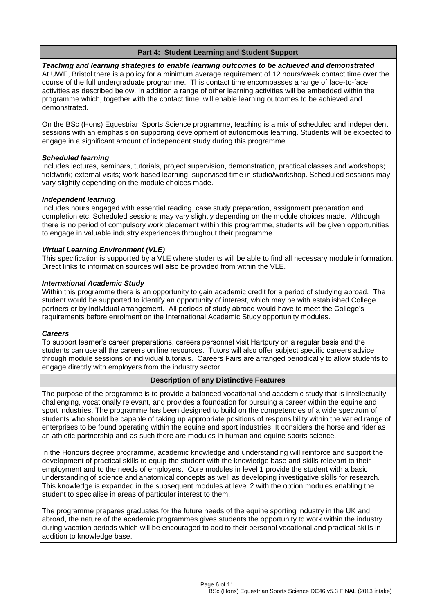# **Part 4: Student Learning and Student Support**

*Teaching and learning strategies to enable learning outcomes to be achieved and demonstrated* At UWE, Bristol there is a policy for a minimum average requirement of 12 hours/week contact time over the course of the full undergraduate programme. This contact time encompasses a range of face-to-face activities as described below. In addition a range of other learning activities will be embedded within the programme which, together with the contact time, will enable learning outcomes to be achieved and demonstrated.

On the BSc (Hons) Equestrian Sports Science programme, teaching is a mix of scheduled and independent sessions with an emphasis on supporting development of autonomous learning. Students will be expected to engage in a significant amount of independent study during this programme.

# *Scheduled learning*

Includes lectures, seminars, tutorials, project supervision, demonstration, practical classes and workshops; fieldwork; external visits; work based learning; supervised time in studio/workshop. Scheduled sessions may vary slightly depending on the module choices made.

# *Independent learning*

Includes hours engaged with essential reading, case study preparation, assignment preparation and completion etc. Scheduled sessions may vary slightly depending on the module choices made. Although there is no period of compulsory work placement within this programme, students will be given opportunities to engage in valuable industry experiences throughout their programme.

# *Virtual Learning Environment (VLE)*

This specification is supported by a VLE where students will be able to find all necessary module information. Direct links to information sources will also be provided from within the VLE.

#### *International Academic Study*

Within this programme there is an opportunity to gain academic credit for a period of studying abroad. The student would be supported to identify an opportunity of interest, which may be with established College partners or by individual arrangement. All periods of study abroad would have to meet the College's requirements before enrolment on the International Academic Study opportunity modules.

#### *Careers*

To support learner's career preparations, careers personnel visit Hartpury on a regular basis and the students can use all the careers on line resources. Tutors will also offer subject specific careers advice through module sessions or individual tutorials. Careers Fairs are arranged periodically to allow students to engage directly with employers from the industry sector.

# **Description of any Distinctive Features**

The purpose of the programme is to provide a balanced vocational and academic study that is intellectually challenging, vocationally relevant, and provides a foundation for pursuing a career within the equine and sport industries. The programme has been designed to build on the competencies of a wide spectrum of students who should be capable of taking up appropriate positions of responsibility within the varied range of enterprises to be found operating within the equine and sport industries. It considers the horse and rider as an athletic partnership and as such there are modules in human and equine sports science.

In the Honours degree programme, academic knowledge and understanding will reinforce and support the development of practical skills to equip the student with the knowledge base and skills relevant to their employment and to the needs of employers. Core modules in level 1 provide the student with a basic understanding of science and anatomical concepts as well as developing investigative skills for research. This knowledge is expanded in the subsequent modules at level 2 with the option modules enabling the student to specialise in areas of particular interest to them.

The programme prepares graduates for the future needs of the equine sporting industry in the UK and abroad, the nature of the academic programmes gives students the opportunity to work within the industry during vacation periods which will be encouraged to add to their personal vocational and practical skills in addition to knowledge base.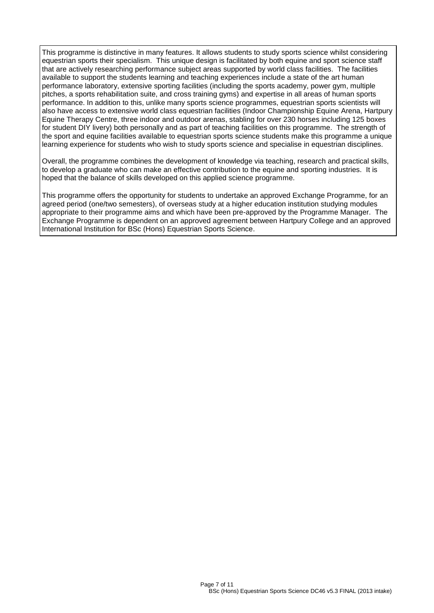This programme is distinctive in many features. It allows students to study sports science whilst considering equestrian sports their specialism. This unique design is facilitated by both equine and sport science staff that are actively researching performance subject areas supported by world class facilities. The facilities available to support the students learning and teaching experiences include a state of the art human performance laboratory, extensive sporting facilities (including the sports academy, power gym, multiple pitches, a sports rehabilitation suite, and cross training gyms) and expertise in all areas of human sports performance. In addition to this, unlike many sports science programmes, equestrian sports scientists will also have access to extensive world class equestrian facilities (Indoor Championship Equine Arena, Hartpury Equine Therapy Centre, three indoor and outdoor arenas, stabling for over 230 horses including 125 boxes for student DIY livery) both personally and as part of teaching facilities on this programme. The strength of the sport and equine facilities available to equestrian sports science students make this programme a unique learning experience for students who wish to study sports science and specialise in equestrian disciplines.

Overall, the programme combines the development of knowledge via teaching, research and practical skills, to develop a graduate who can make an effective contribution to the equine and sporting industries. It is hoped that the balance of skills developed on this applied science programme.

This programme offers the opportunity for students to undertake an approved Exchange Programme, for an agreed period (one/two semesters), of overseas study at a higher education institution studying modules appropriate to their programme aims and which have been pre-approved by the Programme Manager. The Exchange Programme is dependent on an approved agreement between Hartpury College and an approved International Institution for BSc (Hons) Equestrian Sports Science.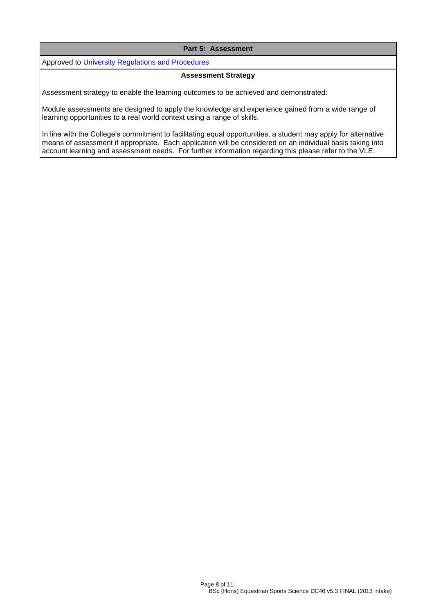# **Part 5: Assessment**

Approved to [University Regulations and Procedures](http://www1.uwe.ac.uk/students/academicadvice/assessments/regulationsandprocedures.aspx)

#### **Assessment Strategy**

Assessment strategy to enable the learning outcomes to be achieved and demonstrated:

Module assessments are designed to apply the knowledge and experience gained from a wide range of learning opportunities to a real world context using a range of skills.

In line with the College's commitment to facilitating equal opportunities, a student may apply for alternative means of assessment if appropriate. Each application will be considered on an individual basis taking into account learning and assessment needs. For further information regarding this please refer to the VLE.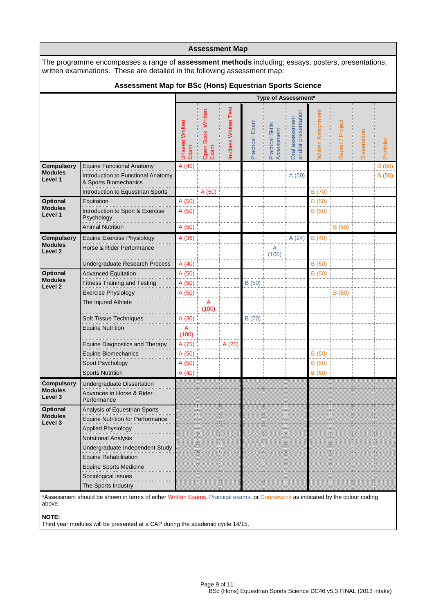|                                                                                                                                                                                        |                                                                                                                                |                        |                           | <b>Assessment Map</b> |                   |                                |                                        |                    |                  |              |           |  |  |
|----------------------------------------------------------------------------------------------------------------------------------------------------------------------------------------|--------------------------------------------------------------------------------------------------------------------------------|------------------------|---------------------------|-----------------------|-------------------|--------------------------------|----------------------------------------|--------------------|------------------|--------------|-----------|--|--|
| The programme encompasses a range of <b>assessment methods</b> including; essays, posters, presentations,<br>written examinations. These are detailed in the following assessment map: |                                                                                                                                |                        |                           |                       |                   |                                |                                        |                    |                  |              |           |  |  |
| Assessment Map for BSc (Hons) Equestrian Sports Science                                                                                                                                |                                                                                                                                |                        |                           |                       |                   |                                |                                        |                    |                  |              |           |  |  |
|                                                                                                                                                                                        |                                                                                                                                |                        |                           |                       |                   |                                | Type of Assessment*                    |                    |                  |              |           |  |  |
|                                                                                                                                                                                        |                                                                                                                                | Unseen Written<br>Exam | Open Book Written<br>Exam | In-class Written Test | Exam<br>Practical | Practical Skills<br>Assessment | Oral assessment<br>and/or presentation | Written Assignment | Report / Project | Dissertation | Portfolio |  |  |
| <b>Compulsory</b><br><b>Modules</b>                                                                                                                                                    | <b>Equine Functional Anatomy</b>                                                                                               | A (40)                 |                           |                       |                   |                                |                                        |                    |                  |              | B(60)     |  |  |
| Level 1                                                                                                                                                                                | Introduction to Functional Anatomy<br>& Sports Biomechanics<br>Introduction to Equestrian Sports                               |                        | A(50)                     |                       |                   |                                | A (50)                                 | B (70)             |                  |              | B(50)     |  |  |
| <b>Optional</b>                                                                                                                                                                        | Equitation                                                                                                                     | A(50)                  |                           |                       |                   |                                |                                        | B(50)              |                  |              |           |  |  |
| <b>Modules</b><br>Level 1                                                                                                                                                              | Introduction to Sport & Exercise<br>Psychology                                                                                 | A(50)                  |                           |                       |                   |                                |                                        | B (50)             |                  |              |           |  |  |
|                                                                                                                                                                                        | <b>Animal Nutrition</b>                                                                                                        | A (50)                 |                           |                       |                   |                                |                                        |                    | B(50)            |              |           |  |  |
| <b>Compulsory</b><br><b>Modules</b><br>Level <sub>2</sub>                                                                                                                              | Equine Exercise Physiology<br>Horse & Rider Performance                                                                        | A(36)                  |                           |                       |                   | A<br>(100)                     | A(24)                                  | B(40)              |                  |              |           |  |  |
|                                                                                                                                                                                        | Undergraduate Research Process                                                                                                 | A(40)                  |                           |                       |                   |                                |                                        | B(60)              |                  |              |           |  |  |
| Optional                                                                                                                                                                               | <b>Advanced Equitation</b>                                                                                                     | A (50)                 |                           |                       |                   |                                |                                        | B(50)              |                  |              |           |  |  |
| <b>Modules</b>                                                                                                                                                                         | <b>Fitness Training and Testing</b>                                                                                            | A (50)                 |                           |                       | B(50)             |                                |                                        |                    |                  |              |           |  |  |
| Level 2                                                                                                                                                                                | <b>Exercise Physiology</b>                                                                                                     | A (50)                 |                           |                       |                   |                                |                                        |                    | B(50)            |              |           |  |  |
|                                                                                                                                                                                        | The Injured Athlete                                                                                                            |                        | Α<br>(100)                |                       |                   |                                |                                        |                    |                  |              |           |  |  |
|                                                                                                                                                                                        | Soft Tissue Techniques                                                                                                         | A (30)                 |                           |                       | B (70)            |                                |                                        |                    |                  |              |           |  |  |
|                                                                                                                                                                                        | <b>Equine Nutrition</b>                                                                                                        | A<br>(100)             |                           |                       |                   |                                |                                        |                    |                  |              |           |  |  |
|                                                                                                                                                                                        | <b>Equine Diagnostics and Therapy</b>                                                                                          | A (75)                 |                           | A (25)                |                   |                                |                                        |                    |                  |              |           |  |  |
|                                                                                                                                                                                        | Equine Biomechanics                                                                                                            | A (50)                 |                           |                       |                   |                                |                                        | B(50)              |                  |              |           |  |  |
|                                                                                                                                                                                        | Sport Psychology                                                                                                               | A(50)                  |                           |                       |                   |                                |                                        | B(50)              |                  |              |           |  |  |
|                                                                                                                                                                                        | <b>Sports Nutrition</b>                                                                                                        | A(40)                  |                           |                       |                   |                                |                                        | B (60)             |                  |              |           |  |  |
| <b>Compulsory</b><br><b>Modules</b><br>Level 3                                                                                                                                         | Undergraduate Dissertation<br>Advances in Horse & Rider<br>Performance                                                         |                        |                           |                       |                   |                                |                                        |                    |                  |              |           |  |  |
| Optional                                                                                                                                                                               | Analysis of Equestrian Sports                                                                                                  |                        |                           |                       |                   |                                |                                        |                    |                  |              |           |  |  |
| <b>Modules</b>                                                                                                                                                                         | <b>Equine Nutrition for Performance</b>                                                                                        |                        |                           |                       |                   |                                |                                        |                    |                  |              |           |  |  |
| Level 3                                                                                                                                                                                | <b>Applied Physiology</b>                                                                                                      |                        |                           |                       |                   |                                |                                        |                    |                  |              |           |  |  |
|                                                                                                                                                                                        | Notational Analysis                                                                                                            |                        |                           |                       |                   |                                |                                        |                    |                  |              |           |  |  |
|                                                                                                                                                                                        | Undergraduate Independent Study                                                                                                |                        |                           |                       |                   |                                |                                        |                    |                  |              |           |  |  |
|                                                                                                                                                                                        | <b>Equine Rehabilitation</b>                                                                                                   |                        |                           |                       |                   |                                |                                        |                    |                  |              |           |  |  |
|                                                                                                                                                                                        | <b>Equine Sports Medicine</b>                                                                                                  |                        |                           |                       |                   |                                |                                        |                    |                  |              |           |  |  |
|                                                                                                                                                                                        | Sociological Issues                                                                                                            |                        |                           |                       |                   |                                |                                        |                    |                  |              |           |  |  |
|                                                                                                                                                                                        | The Sports Industry                                                                                                            |                        |                           |                       |                   |                                |                                        |                    |                  |              |           |  |  |
|                                                                                                                                                                                        | *Assessment should be shown in terms of either Written Exams, Practical exams, or Coursework as indicated by the colour coding |                        |                           |                       |                   |                                |                                        |                    |                  |              |           |  |  |

above.

**NOTE:**

Third year modules will be presented at a CAP during the academic cycle 14/15.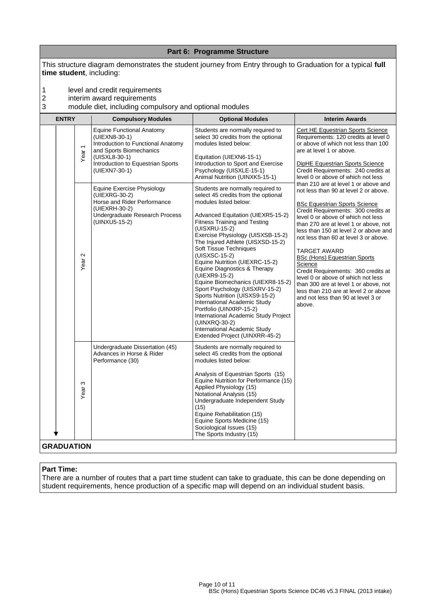|             |                   |                                        |                                                                                                                                                                                                                                                                                          | Part 6: Programme Structure                                                                                                                                                                                                                                                                                                                                                                                                                                                                                                                                                                      |                                                                                                                                                                                                                                                                                                                                                                                                                                                |
|-------------|-------------------|----------------------------------------|------------------------------------------------------------------------------------------------------------------------------------------------------------------------------------------------------------------------------------------------------------------------------------------|--------------------------------------------------------------------------------------------------------------------------------------------------------------------------------------------------------------------------------------------------------------------------------------------------------------------------------------------------------------------------------------------------------------------------------------------------------------------------------------------------------------------------------------------------------------------------------------------------|------------------------------------------------------------------------------------------------------------------------------------------------------------------------------------------------------------------------------------------------------------------------------------------------------------------------------------------------------------------------------------------------------------------------------------------------|
|             |                   |                                        | time student, including:                                                                                                                                                                                                                                                                 | This structure diagram demonstrates the student journey from Entry through to Graduation for a typical full                                                                                                                                                                                                                                                                                                                                                                                                                                                                                      |                                                                                                                                                                                                                                                                                                                                                                                                                                                |
| 1<br>2<br>3 |                   |                                        | level and credit requirements<br>interim award requirements<br>module diet, including compulsory and optional modules                                                                                                                                                                    |                                                                                                                                                                                                                                                                                                                                                                                                                                                                                                                                                                                                  |                                                                                                                                                                                                                                                                                                                                                                                                                                                |
|             | <b>ENTRY</b>      |                                        | <b>Compulsory Modules</b>                                                                                                                                                                                                                                                                | <b>Optional Modules</b>                                                                                                                                                                                                                                                                                                                                                                                                                                                                                                                                                                          | <b>Interim Awards</b>                                                                                                                                                                                                                                                                                                                                                                                                                          |
|             |                   | Year <sub>1</sub>                      | <b>Equine Functional Anatomy</b><br>(UIEXN8-30-1)<br>Introduction to Functional Anatomy<br>and Sports Biomechanics<br>(UISXL8-30-1)<br>Introduction to Equestrian Sports<br>(UIEXN7-30-1)<br>Equine Exercise Physiology<br>(UIEXRG-30-2)<br>Horse and Rider Performance<br>(UIEXRH-30-2) | Students are normally required to<br>select 30 credits from the optional<br>modules listed below:<br>Equitation (UIEXN6-15-1)<br>Introduction to Sport and Exercise<br>Psychology (UISXLE-15-1)<br>Animal Nutrition (UINXK5-15-1)<br>Students are normally required to<br>select 45 credits from the optional<br>modules listed below:                                                                                                                                                                                                                                                           | Cert HE Equestrian Sports Science<br>Requirements: 120 credits at level 0<br>or above of which not less than 100<br>are at level 1 or above.<br>DipHE Equestrian Sports Science<br>Credit Requirements: 240 credits at<br>level 0 or above of which not less<br>than 210 are at level 1 or above and<br>not less than 90 at level 2 or above.<br><b>BSc Equestrian Sports Science</b><br>Credit Requirements: 300 credits at                   |
|             |                   | $\mathbf{\Omega}$<br>Year <sup>-</sup> | Undergraduate Research Process<br>(UINXU5-15-2)                                                                                                                                                                                                                                          | Advanced Equitation (UIEXR5-15-2)<br><b>Fitness Training and Testing</b><br>(UISXRU-15-2)<br>Exercise Physiology (UISXSB-15-2)<br>The Injured Athlete (UISXSD-15-2)<br>Soft Tissue Techniques<br>(UISXSC-15-2)<br>Equine Nutrition (UIEXRC-15-2)<br>Equine Diagnostics & Therapy<br>(UIEXR9-15-2)<br>Equine Biomechanics (UIEXR8-15-2)<br>Sport Psychology (UISXRV-15-2)<br>Sports Nutrition (UISXS9-15-2)<br>International Academic Study<br>Portfolio (UINXRP-15-2)<br>International Academic Study Project<br>(UINXRQ-30-2)<br>International Academic Study<br>Extended Project (UINXRR-45-2) | level 0 or above of which not less<br>than 270 are at level 1 or above, not<br>less than 150 at level 2 or above and<br>not less than 60 at level 3 or above.<br>TARGET AWARD<br><b>BSc (Hons) Equestrian Sports</b><br>Science<br>Credit Requirements: 360 credits at<br>level 0 or above of which not less<br>than 300 are at level 1 or above, not<br>less than 210 are at level 2 or above<br>and not less than 90 at level 3 or<br>above. |
|             |                   | S<br>Year                              | Undergraduate Dissertation (45)<br>Advances in Horse & Rider<br>Performance (30)                                                                                                                                                                                                         | Students are normally required to<br>select 45 credits from the optional<br>modules listed below:<br>Analysis of Equestrian Sports (15)<br>Equine Nutrition for Performance (15)<br>Applied Physiology (15)<br>Notational Analysis (15)<br>Undergraduate Independent Study<br>(15)<br>Equine Rehabilitation (15)<br>Equine Sports Medicine (15)<br>Sociological Issues (15)<br>The Sports Industry (15)                                                                                                                                                                                          |                                                                                                                                                                                                                                                                                                                                                                                                                                                |
|             | <b>GRADUATION</b> |                                        |                                                                                                                                                                                                                                                                                          |                                                                                                                                                                                                                                                                                                                                                                                                                                                                                                                                                                                                  |                                                                                                                                                                                                                                                                                                                                                                                                                                                |

# **Part Time:**

There are a number of routes that a part time student can take to graduate, this can be done depending on student requirements, hence production of a specific map will depend on an individual student basis.